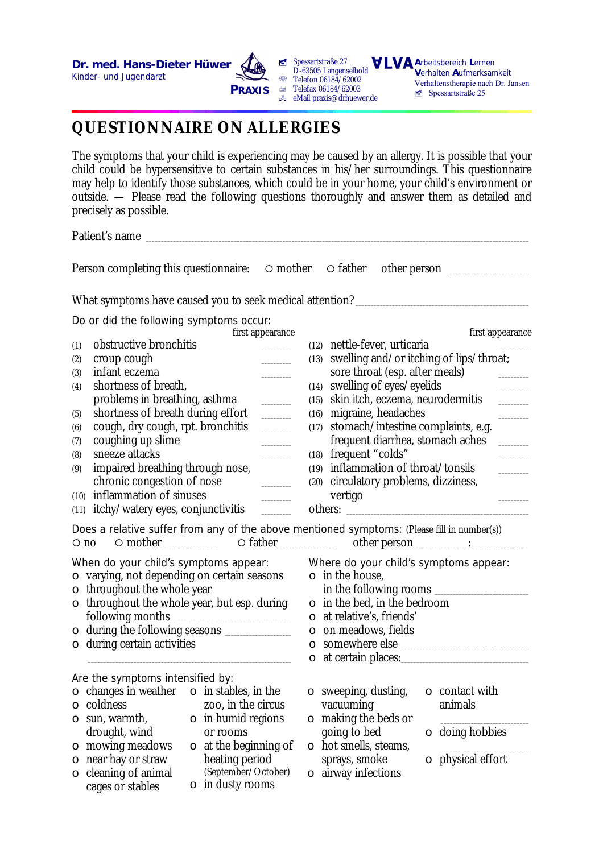

**ú** Spessartstraße 27 D-63505 Langenselbold **Telefon 06184/62002**  $\equiv$  Telefax 06184/62003  $\approx$  eMail praxis@drhuewer.de

**A**rbeitsbereich **L**ernen **V**erhalten **A**ufmerksamkeit Verhaltenstherapie nach Dr. Jansen  $S$ pessartstraße 25

## **QUESTIONNAIRE ON ALLERGIES**

The symptoms that your child is experiencing may be caused by an allergy. It is possible that your child could be hypersensitive to certain substances in his/her surroundings. This questionnaire may help to identify those substances, which could be in your home, your child's environment or outside. — Please read the following questions thoroughly and answer them as detailed and precisely as possible.

Patient's name

Person completing this questionnaire:  $\circ$  mother  $\circ$  father other person  $\Box$ 

What symptoms have caused you to seek medical attention? \_\_\_\_\_\_\_\_\_\_\_\_\_\_\_\_\_\_\_\_\_\_\_

Do or did the following symptoms occur:

| first appearance                                                                                                                                                                                                                                                                                                                                               |                                                                 |                                                                                                                                                                                                                                                                                                                                                                                                                                                                            |                                                                                                                                                                                                          | first appearance        |
|----------------------------------------------------------------------------------------------------------------------------------------------------------------------------------------------------------------------------------------------------------------------------------------------------------------------------------------------------------------|-----------------------------------------------------------------|----------------------------------------------------------------------------------------------------------------------------------------------------------------------------------------------------------------------------------------------------------------------------------------------------------------------------------------------------------------------------------------------------------------------------------------------------------------------------|----------------------------------------------------------------------------------------------------------------------------------------------------------------------------------------------------------|-------------------------|
| (1)                                                                                                                                                                                                                                                                                                                                                            | obstructive bronchitis                                          |                                                                                                                                                                                                                                                                                                                                                                                                                                                                            | (12) nettle-fever, urticaria                                                                                                                                                                             |                         |
| (2)                                                                                                                                                                                                                                                                                                                                                            | croup cough                                                     |                                                                                                                                                                                                                                                                                                                                                                                                                                                                            | (13) swelling and/or itching of lips/throat;                                                                                                                                                             |                         |
| (3)                                                                                                                                                                                                                                                                                                                                                            | infant eczema                                                   |                                                                                                                                                                                                                                                                                                                                                                                                                                                                            | sore throat (esp. after meals)                                                                                                                                                                           |                         |
| (4)                                                                                                                                                                                                                                                                                                                                                            | shortness of breath,                                            |                                                                                                                                                                                                                                                                                                                                                                                                                                                                            | (14) swelling of eyes/eyelids                                                                                                                                                                            |                         |
|                                                                                                                                                                                                                                                                                                                                                                | problems in breathing, asthma                                   | (15)                                                                                                                                                                                                                                                                                                                                                                                                                                                                       | skin itch, eczema, neurodermitis                                                                                                                                                                         |                         |
| (5)                                                                                                                                                                                                                                                                                                                                                            | shortness of breath during effort<br>$\mathcal{L}^{\text{max}}$ |                                                                                                                                                                                                                                                                                                                                                                                                                                                                            | (16) migraine, headaches                                                                                                                                                                                 |                         |
| (6)                                                                                                                                                                                                                                                                                                                                                            | cough, dry cough, rpt. bronchitis                               | $\frac{1}{2} \left( \frac{1}{2} \right) \left( \frac{1}{2} \right) \left( \frac{1}{2} \right) \left( \frac{1}{2} \right) \left( \frac{1}{2} \right) \left( \frac{1}{2} \right) \left( \frac{1}{2} \right) \left( \frac{1}{2} \right) \left( \frac{1}{2} \right) \left( \frac{1}{2} \right) \left( \frac{1}{2} \right) \left( \frac{1}{2} \right) \left( \frac{1}{2} \right) \left( \frac{1}{2} \right) \left( \frac{1}{2} \right) \left( \frac{1}{2} \right) \left( \frac$ | (17) stomach/intestine complaints, e.g.                                                                                                                                                                  |                         |
| (7)                                                                                                                                                                                                                                                                                                                                                            | coughing up slime                                               |                                                                                                                                                                                                                                                                                                                                                                                                                                                                            | frequent diarrhea, stomach aches                                                                                                                                                                         |                         |
| (8)                                                                                                                                                                                                                                                                                                                                                            | sneeze attacks                                                  |                                                                                                                                                                                                                                                                                                                                                                                                                                                                            | (18) frequent "colds"                                                                                                                                                                                    |                         |
| (9)                                                                                                                                                                                                                                                                                                                                                            | impaired breathing through nose,                                |                                                                                                                                                                                                                                                                                                                                                                                                                                                                            | (19) inflammation of throat/tonsils                                                                                                                                                                      |                         |
|                                                                                                                                                                                                                                                                                                                                                                | chronic congestion of nose                                      |                                                                                                                                                                                                                                                                                                                                                                                                                                                                            | (20) circulatory problems, dizziness,                                                                                                                                                                    |                         |
| (10)                                                                                                                                                                                                                                                                                                                                                           | inflammation of sinuses                                         |                                                                                                                                                                                                                                                                                                                                                                                                                                                                            | vertigo                                                                                                                                                                                                  |                         |
| (11)                                                                                                                                                                                                                                                                                                                                                           | itchy/watery eyes, conjunctivitis                               |                                                                                                                                                                                                                                                                                                                                                                                                                                                                            | others:                                                                                                                                                                                                  |                         |
| Does a relative suffer from any of the above mentioned symptoms: (Please fill in number(s))<br>$\circ$ no<br>When do your child's symptoms appear:<br>$\circ$ varying, not depending on certain seasons<br>$\circ$ throughout the whole year<br>$\circ$ throughout the whole year, but esp. during<br>following months<br>during certain activities<br>$\circ$ |                                                                 | $\circ$                                                                                                                                                                                                                                                                                                                                                                                                                                                                    | Where do your child's symptoms appear:<br>$\circ$ in the house,<br>in the following rooms<br>$\circ$ in the bed, in the bedroom<br>o at relative's, friends'<br>o on meadows, fields<br>o somewhere else |                         |
| Are the symptoms intensified by:                                                                                                                                                                                                                                                                                                                               |                                                                 |                                                                                                                                                                                                                                                                                                                                                                                                                                                                            |                                                                                                                                                                                                          |                         |
| $\circ$                                                                                                                                                                                                                                                                                                                                                        | changes in weather $\circ$ in stables, in the                   |                                                                                                                                                                                                                                                                                                                                                                                                                                                                            | $\circ$ sweeping, dusting,                                                                                                                                                                               | $\circ$ contact with    |
| $\circ$                                                                                                                                                                                                                                                                                                                                                        | coldness<br>zoo, in the circus                                  |                                                                                                                                                                                                                                                                                                                                                                                                                                                                            | vacuuming                                                                                                                                                                                                | animals                 |
|                                                                                                                                                                                                                                                                                                                                                                | $\circ$ in humid regions<br>$\circ$ sun, warmth,                |                                                                                                                                                                                                                                                                                                                                                                                                                                                                            | $\circ$ making the beds or                                                                                                                                                                               |                         |
|                                                                                                                                                                                                                                                                                                                                                                | drought, wind<br>or rooms                                       |                                                                                                                                                                                                                                                                                                                                                                                                                                                                            | going to bed                                                                                                                                                                                             | $\circ$ doing hobbies   |
|                                                                                                                                                                                                                                                                                                                                                                | $\circ$ mowing meadows<br>$\circ$ at the beginning of           |                                                                                                                                                                                                                                                                                                                                                                                                                                                                            | $\circ$ hot smells, steams,                                                                                                                                                                              |                         |
|                                                                                                                                                                                                                                                                                                                                                                | $\circ$ near hay or straw<br>heating period                     |                                                                                                                                                                                                                                                                                                                                                                                                                                                                            | sprays, smoke                                                                                                                                                                                            | $\circ$ physical effort |
|                                                                                                                                                                                                                                                                                                                                                                | (September/October)<br>o cleaning of animal                     |                                                                                                                                                                                                                                                                                                                                                                                                                                                                            | $\circ$ airway infections                                                                                                                                                                                |                         |
|                                                                                                                                                                                                                                                                                                                                                                | $\circ$ in dusty rooms<br>cages or stables                      |                                                                                                                                                                                                                                                                                                                                                                                                                                                                            |                                                                                                                                                                                                          |                         |